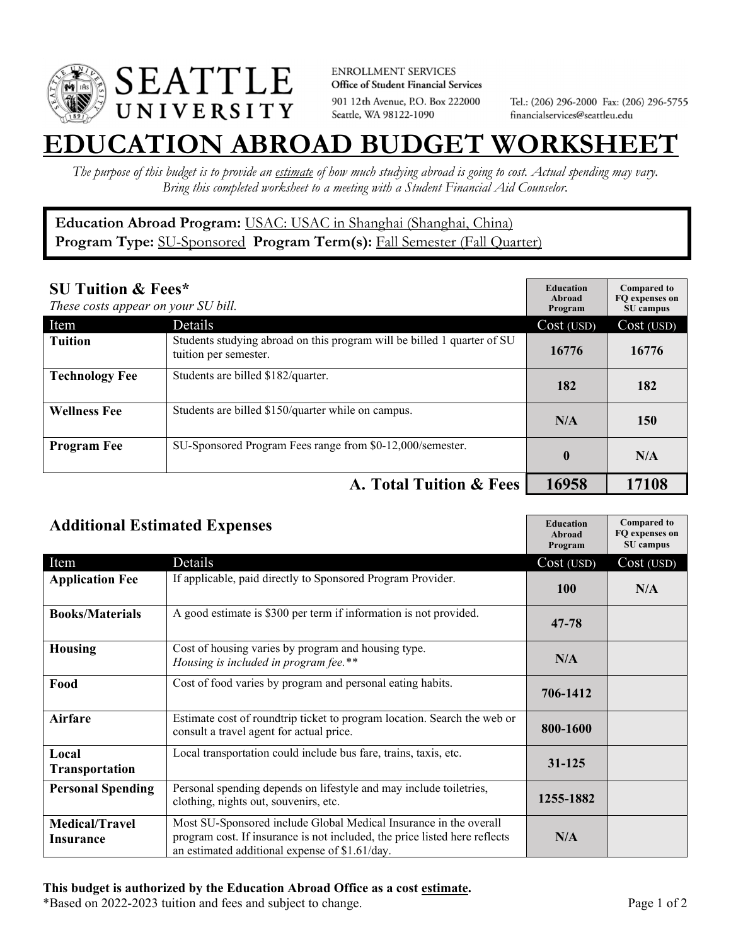

**ENROLLMENT SERVICES** Office of Student Financial Services 901 12th Avenue, P.O. Box 222000 Seattle, WA 98122-1090

Tel.: (206) 296-2000 Fax: (206) 296-5755 financialservices@seattleu.edu

## **EATION ABROAD BUDGET WORKSHEE**

*The purpose of this budget is to provide an estimate of how much studying abroad is going to cost. Actual spending may vary. Bring this completed worksheet to a meeting with a Student Financial Aid Counselor.* 

## **Education Abroad Program:** USAC: USAC in Shanghai (Shanghai, China) Program Type: **SU-Sponsored** Program Term(s): **Fall Semester (Fall Quarter)**

| <b>SU Tuition &amp; Fees*</b><br>These costs appear on your SU bill. |                                                                                                  | <b>Education</b><br>Abroad<br>Program | <b>Compared to</b><br>FO expenses on<br>SU campus |
|----------------------------------------------------------------------|--------------------------------------------------------------------------------------------------|---------------------------------------|---------------------------------------------------|
| Item                                                                 | Details                                                                                          | Cost (USD)                            | Cost (USD)                                        |
| <b>Tuition</b>                                                       | Students studying abroad on this program will be billed 1 quarter of SU<br>tuition per semester. | 16776                                 | 16776                                             |
| <b>Technology Fee</b>                                                | Students are billed \$182/quarter.                                                               | 182                                   | 182                                               |
| <b>Wellness Fee</b>                                                  | Students are billed \$150/quarter while on campus.                                               | N/A                                   | 150                                               |
| <b>Program Fee</b>                                                   | SU-Sponsored Program Fees range from \$0-12,000/semester.                                        | $\bf{0}$                              | N/A                                               |
|                                                                      | A. Total Tuition & Fees                                                                          | 16958                                 | 17108                                             |

| <b>Additional Estimated Expenses</b> |                                                                                                                                                                                                   | <b>Education</b><br>Abroad<br>Program | <b>Compared to</b><br>FQ expenses on<br>SU campus |
|--------------------------------------|---------------------------------------------------------------------------------------------------------------------------------------------------------------------------------------------------|---------------------------------------|---------------------------------------------------|
| Item                                 | Details                                                                                                                                                                                           | Cost (USD)                            | Cost (USD)                                        |
| <b>Application Fee</b>               | If applicable, paid directly to Sponsored Program Provider.                                                                                                                                       | <b>100</b>                            | N/A                                               |
| <b>Books/Materials</b>               | A good estimate is \$300 per term if information is not provided.                                                                                                                                 | $47 - 78$                             |                                                   |
| <b>Housing</b>                       | Cost of housing varies by program and housing type.<br>Housing is included in program fee.**                                                                                                      | N/A                                   |                                                   |
| Food                                 | Cost of food varies by program and personal eating habits.                                                                                                                                        | 706-1412                              |                                                   |
| Airfare                              | Estimate cost of roundtrip ticket to program location. Search the web or<br>consult a travel agent for actual price.                                                                              | 800-1600                              |                                                   |
| Local<br><b>Transportation</b>       | Local transportation could include bus fare, trains, taxis, etc.                                                                                                                                  | 31-125                                |                                                   |
| <b>Personal Spending</b>             | Personal spending depends on lifestyle and may include toiletries,<br>clothing, nights out, souvenirs, etc.                                                                                       | 1255-1882                             |                                                   |
| <b>Medical/Travel</b><br>Insurance   | Most SU-Sponsored include Global Medical Insurance in the overall<br>program cost. If insurance is not included, the price listed here reflects<br>an estimated additional expense of \$1.61/day. | N/A                                   |                                                   |

\*Based on 2022-2023 tuition and fees and subject to change. Page 1 of 2